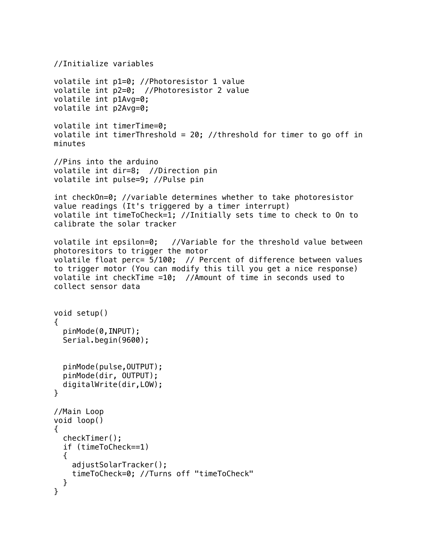```
//Initialize variables 
volatile int p1=0; //Photoresistor 1 value
volatile int p2=0; //Photoresistor 2 value
volatile int p1Avg=0; 
volatile int p2Avg=0;
volatile int timerTime=0;
volatile int timerThreshold = 20; //threshold for timer to go off in
minutes
//Pins into the arduino
volatile int dir=8; //Direction pin
volatile int pulse=9; //Pulse pin
int checkOn=0; //variable determines whether to take photoresistor 
value readings (It's triggered by a timer interrupt)
volatile int timeToCheck=1; //Initially sets time to check to On to 
calibrate the solar tracker
volatile int epsilon=0; //Variable for the threshold value between 
photoresitors to trigger the motor 
volatile float perc= 5/100; // Percent of difference between values 
to trigger motor (You can modify this till you get a nice response)
volatile int checkTime =10; //Amount of time in seconds used to 
collect sensor data
void setup() 
{
   pinMode(0,INPUT);
   Serial.begin(9600);
   pinMode(pulse,OUTPUT);
   pinMode(dir, OUTPUT);
   digitalWrite(dir,LOW);
}
//Main Loop
void loop() 
{
   checkTimer();
   if (timeToCheck==1)
\{ adjustSolarTracker();
     timeToCheck=0; //Turns off "timeToCheck"
  }
}
```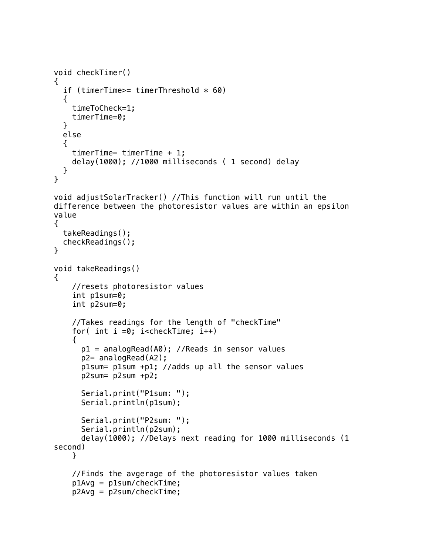```
void checkTimer()
{
  if (timerTime>= timerThreshold * 60)
   {
     timeToCheck=1;
     timerTime=0;
   }
   else
\{ timerTime= timerTime + 1;
     delay(1000); //1000 milliseconds ( 1 second) delay
   }
}
void adjustSolarTracker() //This function will run until the 
difference between the photoresistor values are within an epsilon 
value
{
   takeReadings();
   checkReadings();
}
void takeReadings()
{
     //resets photoresistor values
     int p1sum=0; 
     int p2sum=0; 
     //Takes readings for the length of "checkTime"
    for( int i = 0; i<checkTime; i++) {
       p1 = analogRead(A0); //Reads in sensor values
       p2= analogRead(A2);
       p1sum= p1sum +p1; //adds up all the sensor values
       p2sum= p2sum +p2;
       Serial.print("P1sum: ");
       Serial.println(p1sum); 
       Serial.print("P2sum: ");
       Serial.println(p2sum); 
       delay(1000); //Delays next reading for 1000 milliseconds (1 
second)
     }
     //Finds the avgerage of the photoresistor values taken
     p1Avg = p1sum/checkTime;
     p2Avg = p2sum/checkTime;
```